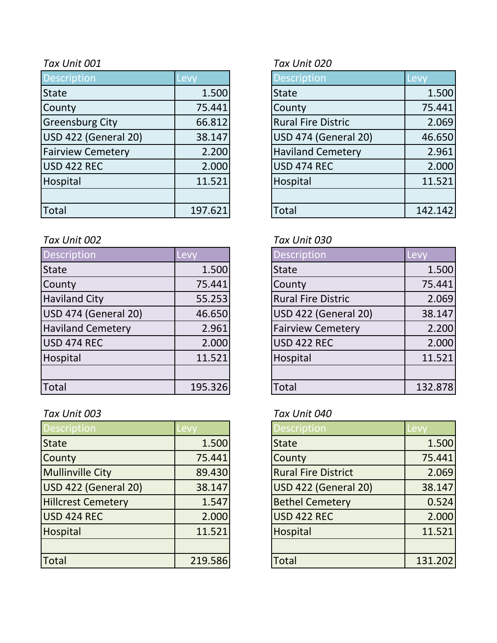| <b>Description</b>       | Levy    | <b>Description</b>        | Levy    |
|--------------------------|---------|---------------------------|---------|
| <b>State</b>             | 1.500   | <b>State</b>              | 1.500   |
| County                   | 75.441  | County                    | 75.441  |
| <b>Greensburg City</b>   | 66.812  | <b>Rural Fire Distric</b> | 2.069   |
| USD 422 (General 20)     | 38.147  | USD 474 (General 20)      | 46.650  |
| <b>Fairview Cemetery</b> | 2.200   | <b>Haviland Cemetery</b>  | 2.961   |
| USD 422 REC              | 2.000   | USD 474 REC               | 2.000   |
| Hospital                 | 11.521  | Hospital                  | 11.521  |
|                          |         |                           |         |
| Total                    | 197.621 | <b>Total</b>              | 142.142 |

### *Tax Unit 002 Tax Unit 030*

| Description              | Levy    | <b>Description</b>          | Levy    |
|--------------------------|---------|-----------------------------|---------|
| <b>State</b>             | 1.500   | <b>State</b>                | 1.500   |
| County                   | 75.441  | County                      | 75.441  |
| <b>Haviland City</b>     | 55.253  | <b>Rural Fire Distric</b>   | 2.069   |
| USD 474 (General 20)     | 46.650  | <b>USD 422 (General 20)</b> | 38.147  |
| <b>Haviland Cemetery</b> | 2.961   | <b>Fairview Cemetery</b>    | 2.200   |
| USD 474 REC              | 2.000   | <b>USD 422 REC</b>          | 2.000   |
| Hospital                 | 11.521  | Hospital                    | 11.521  |
|                          |         |                             |         |
| <b>Total</b>             | 195.326 | <b>Total</b>                | 132.878 |

| <b>Description</b>        | Levy    | <b>Description</b>         | <b>Levy</b> |
|---------------------------|---------|----------------------------|-------------|
| <b>State</b>              | 1.500   | <b>State</b>               | 1.500       |
| County                    | 75.441  | County                     | 75.441      |
| <b>Mullinville City</b>   | 89.430  | <b>Rural Fire District</b> | 2.069       |
| USD 422 (General 20)      | 38.147  | USD 422 (General 20)       | 38.147      |
| <b>Hillcrest Cemetery</b> | 1.547   | <b>Bethel Cemetery</b>     | 0.524       |
| USD 424 REC               | 2.000   | <b>USD 422 REC</b>         | 2.000       |
| Hospital                  | 11.521  | Hospital                   | 11.521      |
|                           |         |                            |             |
| Total                     | 219.586 | <b>Total</b>               | 131.202     |

### *Tax Unit 001 Tax Unit 020*

| <b>Description</b>          | Levy    |
|-----------------------------|---------|
| <b>State</b>                | 1.500   |
| County                      | 75.441  |
| <b>Rural Fire Distric</b>   | 2.069   |
| <b>USD 474 (General 20)</b> | 46.650  |
| <b>Haviland Cemetery</b>    | 2.961   |
| <b>USD 474 REC</b>          | 2.000   |
| Hospital                    | 11.521  |
|                             |         |
| <b>Total</b>                | 142.142 |

| <b>Description</b>        | Lev     |
|---------------------------|---------|
| <b>State</b>              | 1.500   |
| County                    | 75.441  |
| <b>Rural Fire Distric</b> | 2.069   |
| USD 422 (General 20)      | 38.147  |
| <b>Fairview Cemetery</b>  | 2.200   |
| USD 422 REC               | 2.000   |
| Hospital                  | 11.521  |
|                           |         |
| Total                     | 132.878 |

# *Tax Unit 003 Tax Unit 040*

| <b>Description</b>          | Levy    |
|-----------------------------|---------|
| <b>State</b>                | 1.500   |
| County                      | 75.441  |
| <b>Rural Fire District</b>  | 2.069   |
| <b>USD 422 (General 20)</b> | 38.147  |
| <b>Bethel Cemetery</b>      | 0.524   |
| <b>USD 422 REC</b>          | 2.000   |
| Hospital                    | 11.521  |
|                             |         |
| <b>Total</b>                | 131.202 |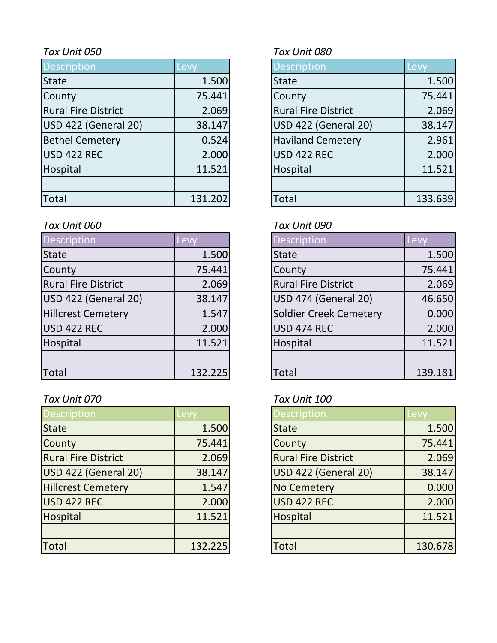| <b>Description</b>         | Levy    | <b>Description</b>         |                          | Levy    |
|----------------------------|---------|----------------------------|--------------------------|---------|
| <b>State</b>               | 1.500   | <b>State</b>               |                          | 1.500   |
| County                     | 75.441  | County                     |                          | 75.441  |
| <b>Rural Fire District</b> | 2.069   | <b>Rural Fire District</b> |                          | 2.069   |
| USD 422 (General 20)       | 38.147  |                            | USD 422 (General 20)     | 38.147  |
| <b>Bethel Cemetery</b>     | 0.524   |                            | <b>Haviland Cemetery</b> | 2.961   |
| USD 422 REC                | 2.000   | <b>USD 422 REC</b>         |                          | 2.000   |
| Hospital                   | 11.521  | Hospital                   |                          | 11.521  |
|                            |         |                            |                          |         |
| Total                      | 131.202 | <b>Total</b>               |                          | 133.639 |

## *Tax Unit 060 Tax Unit 090*

| Description                | Levy    | <b>Description</b>         | Levy    |
|----------------------------|---------|----------------------------|---------|
| <b>State</b>               | 1.500   | <b>State</b>               | 1.500   |
| County                     | 75.441  | County                     | 75.441  |
| <b>Rural Fire District</b> | 2.069   | <b>Rural Fire District</b> | 2.069   |
| USD 422 (General 20)       | 38.147  | USD 474 (General 20)       | 46.650  |
| <b>Hillcrest Cemetery</b>  | 1.547   | Soldier Creek Cemetery     | 0.000   |
| USD 422 REC                | 2.000   | <b>USD 474 REC</b>         | 2.000   |
| Hospital                   | 11.521  | Hospital                   | 11.521  |
|                            |         |                            |         |
| <b>Total</b>               | 132.225 | Total                      | 139.181 |

# *Tax Unit 070 Tax Unit 100*

| <b>Description</b>         | evy.    | <b>Description</b>         | -evy    |
|----------------------------|---------|----------------------------|---------|
| <b>State</b>               | 1.500   | <b>State</b>               | 1.500   |
| County                     | 75.441  | County                     | 75.441  |
| <b>Rural Fire District</b> | 2.069   | <b>Rural Fire District</b> | 2.069   |
| USD 422 (General 20)       | 38.147  | USD 422 (General 20)       | 38.147  |
| <b>Hillcrest Cemetery</b>  | 1.547   | <b>No Cemetery</b>         | 0.000   |
| USD 422 REC                | 2.000   | USD 422 REC                | 2.000   |
| Hospital                   | 11.521  | Hospital                   | 11.521  |
|                            |         |                            |         |
| <b>Total</b>               | 132.225 | <b>Total</b>               | 130.678 |

# *Tax Unit 050 Tax Unit 080*

| <b>Description</b>          | Levy    |
|-----------------------------|---------|
| <b>State</b>                | 1.500   |
| County                      | 75.441  |
| <b>Rural Fire District</b>  | 2.069   |
| <b>USD 422 (General 20)</b> | 38.147  |
| <b>Haviland Cemetery</b>    | 2.961   |
| <b>USD 422 REC</b>          | 2.000   |
| Hospital                    | 11.521  |
|                             |         |
| ัดtal                       | 133.639 |

| <b>Description</b>            | Levy    |
|-------------------------------|---------|
| <b>State</b>                  | 1.500   |
| County                        | 75.441  |
| <b>Rural Fire District</b>    | 2.069   |
| <b>USD 474 (General 20)</b>   | 46.650  |
| <b>Soldier Creek Cemetery</b> | 0.000   |
| <b>USD 474 REC</b>            | 2.000   |
| Hospital                      | 11.521  |
|                               |         |
| Total                         | 139.181 |

| <b>Description</b>         | Levy    |
|----------------------------|---------|
| <b>State</b>               | 1.500   |
| County                     | 75.441  |
| <b>Rural Fire District</b> | 2.069   |
| USD 422 (General 20)       | 38.147  |
| <b>No Cemetery</b>         | 0.000   |
| USD 422 REC                | 2.000   |
| Hospital                   | 11.521  |
|                            |         |
| Total                      | 130.678 |